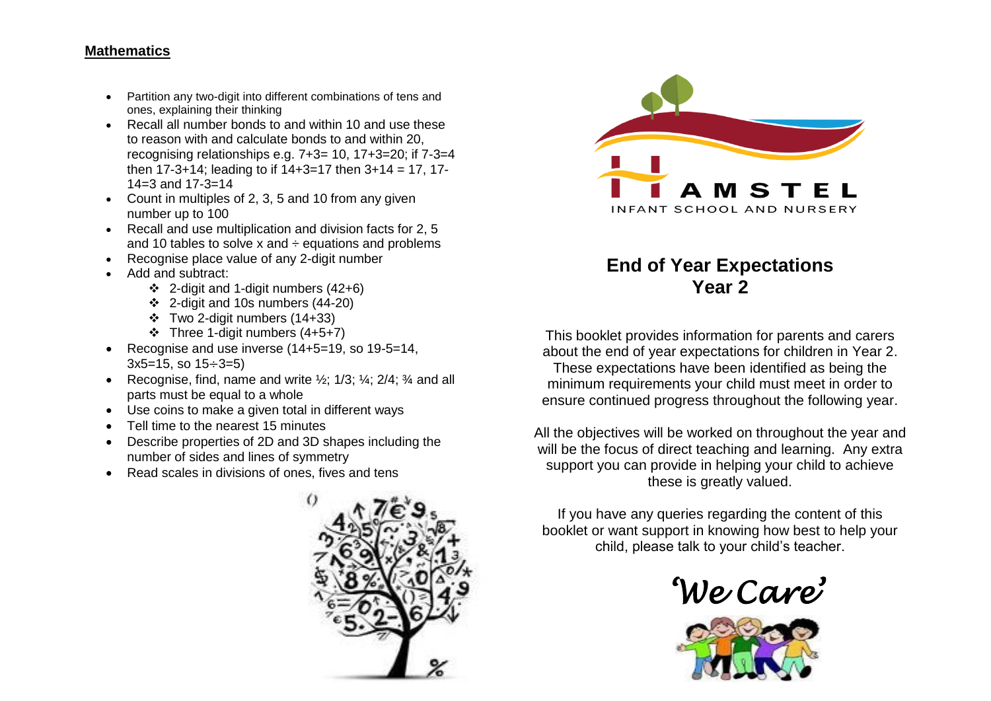### **Mathematics**

- Partition any two-digit into different combinations of tens and ones, explaining their thinking
- Recall all number bonds to and within 10 and use these to reason with and calculate bonds to and within 20, recognising relationships e.g. 7+3= 10, 17+3=20; if 7-3=4 then  $17-3+14$ ; leading to if  $14+3=17$  then  $3+14=17$ ,  $17-$ 14=3 and 17-3=14
- Count in multiples of 2, 3, 5 and 10 from any given number up to 100
- Recall and use multiplication and division facts for 2, 5 and 10 tables to solve x and  $\div$  equations and problems
- Recognise place value of any 2-digit number
- Add and subtract:
	- $\div$  2-digit and 1-digit numbers (42+6)
	- $\div$  2-digit and 10s numbers (44-20)
	- Two 2-digit numbers (14+33)
	- Three 1-digit numbers (4+5+7)
- Recognise and use inverse  $(14+5=19, s_0 19-5=14,$  $3x5=15$ , so  $15 \div 3=5$ )
- Recognise, find, name and write  $\frac{1}{2}$ ; 1/3;  $\frac{1}{3}$ ; 2/4;  $\frac{3}{4}$  and all parts must be equal to a whole
- Use coins to make a given total in different ways
- Tell time to the nearest 15 minutes
- Describe properties of 2D and 3D shapes including the number of sides and lines of symmetry
- Read scales in divisions of ones, fives and tens





# **End of Year Expectations Year 2**

This booklet provides information for parents and carers about the end of year expectations for children in Year 2. These expectations have been identified as being the minimum requirements your child must meet in order to ensure continued progress throughout the following year.

All the objectives will be worked on throughout the year and will be the focus of direct teaching and learning. Any extra support you can provide in helping your child to achieve these is greatly valued.

If you have any queries regarding the content of this booklet or want support in knowing how best to help your child, please talk to your child's teacher.